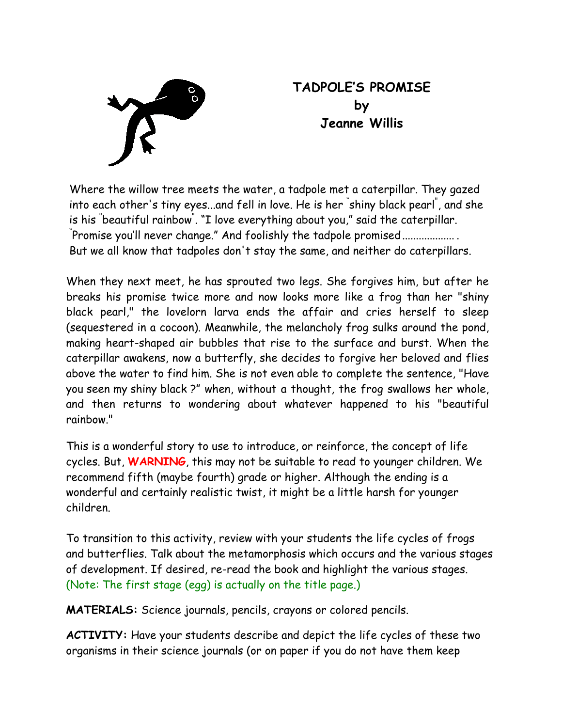

## **TADPOLE'S PROMISE by Jeanne Willis**

Where the willow tree meets the water, a tadpole met a caterpillar. They gazed into each other's tiny eyes...and fell in love. He is her " shiny black pearl" , and she is his <sup>"</sup>beautiful rainbow". "I love everything about you," said the caterpillar.<br><sup>"Dnomice you'll nover change," And foolishly the tednole promiced</sup> Promise you'll never change." And foolishly the tadpole promised................... But we all know that tadpoles don't stay the same, and neither do caterpillars.

When they next meet, he has sprouted two legs. She forgives him, but after he breaks his promise twice more and now looks more like a frog than her "shiny black pearl," the lovelorn larva ends the affair and cries herself to sleep (sequestered in a cocoon). Meanwhile, the melancholy frog sulks around the pond, making heart-shaped air bubbles that rise to the surface and burst. When the caterpillar awakens, now a butterfly, she decides to forgive her beloved and flies above the water to find him. She is not even able to complete the sentence, "Have you seen my shiny black ?" when, without a thought, the frog swallows her whole, and then returns to wondering about whatever happened to his "beautiful rainbow."

This is a wonderful story to use to introduce, or reinforce, the concept of life cycles. But, **WARNING**, this may not be suitable to read to younger children. We recommend fifth (maybe fourth) grade or higher. Although the ending is a wonderful and certainly realistic twist, it might be a little harsh for younger children.

To transition to this activity, review with your students the life cycles of frogs and butterflies. Talk about the metamorphosis which occurs and the various stages of development. If desired, re-read the book and highlight the various stages. (Note: The first stage (egg) is actually on the title page.)

**MATERIALS:** Science journals, pencils, crayons or colored pencils.

**ACTIVITY:** Have your students describe and depict the life cycles of these two organisms in their science journals (or on paper if you do not have them keep